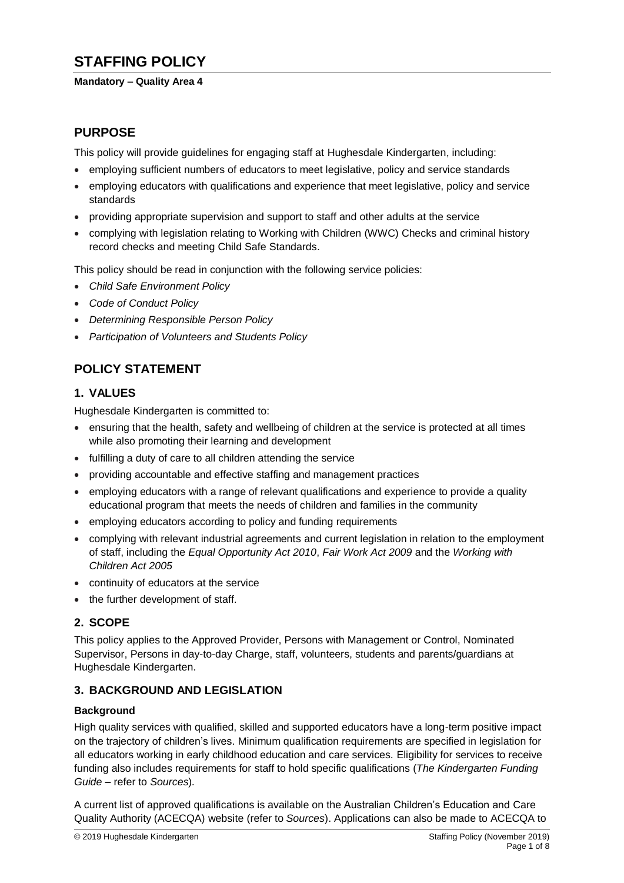# **STAFFING POLICY**

#### **Mandatory – Quality Area 4**

# **PURPOSE**

This policy will provide guidelines for engaging staff at Hughesdale Kindergarten, including:

- employing sufficient numbers of educators to meet legislative, policy and service standards
- employing educators with qualifications and experience that meet legislative, policy and service standards
- providing appropriate supervision and support to staff and other adults at the service
- complying with legislation relating to Working with Children (WWC) Checks and criminal history record checks and meeting Child Safe Standards.

This policy should be read in conjunction with the following service policies:

- *Child Safe Environment Policy*
- *Code of Conduct Policy*
- *Determining Responsible Person Policy*
- *Participation of Volunteers and Students Policy*

# **POLICY STATEMENT**

### **1. VALUES**

Hughesdale Kindergarten is committed to:

- ensuring that the health, safety and wellbeing of children at the service is protected at all times while also promoting their learning and development
- fulfilling a duty of care to all children attending the service
- providing accountable and effective staffing and management practices
- employing educators with a range of relevant qualifications and experience to provide a quality educational program that meets the needs of children and families in the community
- employing educators according to policy and funding requirements
- complying with relevant industrial agreements and current legislation in relation to the employment of staff, including the *Equal Opportunity Act 2010*, *Fair Work Act 2009* and the *Working with Children Act 2005*
- continuity of educators at the service
- the further development of staff*.*

# **2. SCOPE**

This policy applies to the Approved Provider, Persons with Management or Control, Nominated Supervisor, Persons in day-to-day Charge, staff, volunteers, students and parents/guardians at Hughesdale Kindergarten.

### **3. BACKGROUND AND LEGISLATION**

### **Background**

High quality services with qualified, skilled and supported educators have a long-term positive impact on the trajectory of children's lives. Minimum qualification requirements are specified in legislation for all educators working in early childhood education and care services. Eligibility for services to receive funding also includes requirements for staff to hold specific qualifications (*The Kindergarten Funding Guide –* refer to *Sources*)*.*

A current list of approved qualifications is available on the Australian Children's Education and Care Quality Authority (ACECQA) website (refer to *Sources*). Applications can also be made to ACECQA to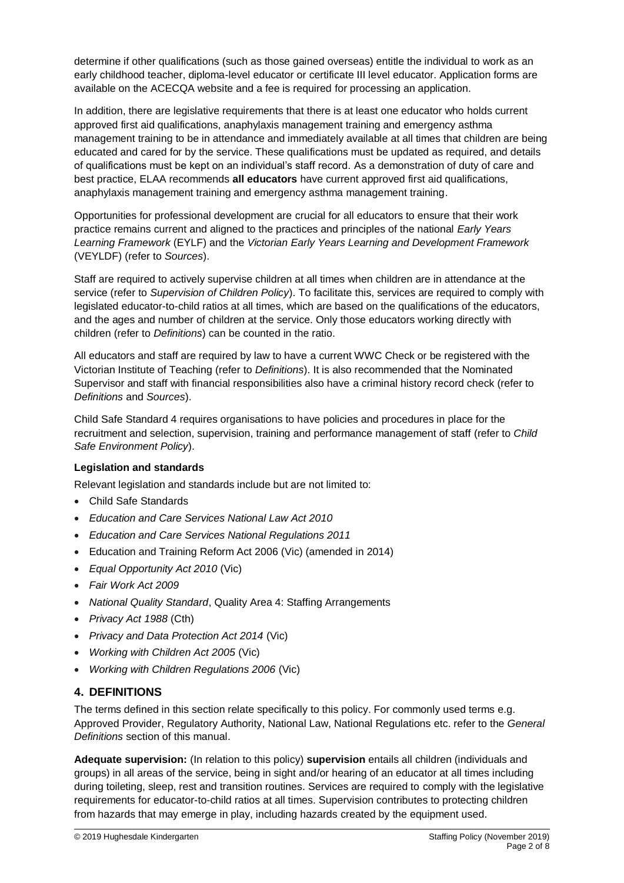determine if other qualifications (such as those gained overseas) entitle the individual to work as an early childhood teacher, diploma-level educator or certificate III level educator. Application forms are available on the ACECQA website and a fee is required for processing an application.

In addition, there are legislative requirements that there is at least one educator who holds current approved first aid qualifications, anaphylaxis management training and emergency asthma management training to be in attendance and immediately available at all times that children are being educated and cared for by the service. These qualifications must be updated as required, and details of qualifications must be kept on an individual's staff record. As a demonstration of duty of care and best practice, ELAA recommends **all educators** have current approved first aid qualifications, anaphylaxis management training and emergency asthma management training.

Opportunities for professional development are crucial for all educators to ensure that their work practice remains current and aligned to the practices and principles of the national *Early Years Learning Framework* (EYLF) and the *Victorian Early Years Learning and Development Framework* (VEYLDF) (refer to *Sources*).

Staff are required to actively supervise children at all times when children are in attendance at the service (refer to *Supervision of Children Policy*). To facilitate this, services are required to comply with legislated educator-to-child ratios at all times, which are based on the qualifications of the educators, and the ages and number of children at the service. Only those educators working directly with children (refer to *Definitions*) can be counted in the ratio.

All educators and staff are required by law to have a current WWC Check or be registered with the Victorian Institute of Teaching (refer to *Definitions*). It is also recommended that the Nominated Supervisor and staff with financial responsibilities also have a criminal history record check (refer to *Definitions* and *Sources*).

Child Safe Standard 4 requires organisations to have policies and procedures in place for the recruitment and selection, supervision, training and performance management of staff (refer to *Child Safe Environment Policy*).

### **Legislation and standards**

Relevant legislation and standards include but are not limited to:

- Child Safe Standards
- *Education and Care Services National Law Act 2010*
- *Education and Care Services National Regulations 2011*
- Education and Training Reform Act 2006 (Vic) (amended in 2014)
- *Equal Opportunity Act 2010* (Vic)
- *Fair Work Act 2009*
- *National Quality Standard*, Quality Area 4: Staffing Arrangements
- *Privacy Act 1988* (Cth)
- *Privacy and Data Protection Act 2014* (Vic)
- *Working with Children Act 2005* (Vic)
- *Working with Children Regulations 2006* (Vic)

### **4. DEFINITIONS**

The terms defined in this section relate specifically to this policy. For commonly used terms e.g. Approved Provider, Regulatory Authority, National Law, National Regulations etc. refer to the *General Definitions* section of this manual.

**Adequate supervision:** (In relation to this policy) **supervision** entails all children (individuals and groups) in all areas of the service, being in sight and/or hearing of an educator at all times including during toileting, sleep, rest and transition routines. Services are required to comply with the legislative requirements for educator-to-child ratios at all times. Supervision contributes to protecting children from hazards that may emerge in play, including hazards created by the equipment used.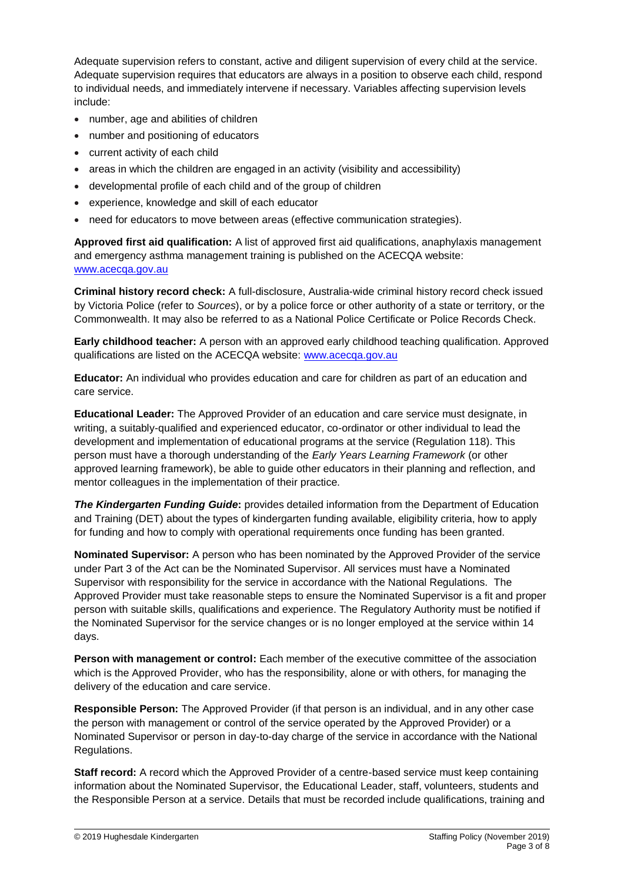Adequate supervision refers to constant, active and diligent supervision of every child at the service. Adequate supervision requires that educators are always in a position to observe each child, respond to individual needs, and immediately intervene if necessary. Variables affecting supervision levels include:

- number, age and abilities of children
- number and positioning of educators
- current activity of each child
- areas in which the children are engaged in an activity (visibility and accessibility)
- developmental profile of each child and of the group of children
- experience, knowledge and skill of each educator
- need for educators to move between areas (effective communication strategies).

**Approved first aid qualification:** A list of approved first aid qualifications, anaphylaxis management and emergency asthma management training is published on the ACECQA website: [www.acecqa.gov.au](http://www.acecqa.gov.au/)

**Criminal history record check:** A full-disclosure, Australia-wide criminal history record check issued by Victoria Police (refer to *Sources*), or by a police force or other authority of a state or territory, or the Commonwealth. It may also be referred to as a National Police Certificate or Police Records Check.

**Early childhood teacher:** A person with an approved early childhood teaching qualification. Approved qualifications are listed on the ACECQA website: [www.acecqa.gov.au](http://www.acecqa.gov.au/)

**Educator:** An individual who provides education and care for children as part of an education and care service.

**Educational Leader:** The Approved Provider of an education and care service must designate, in writing, a suitably-qualified and experienced educator, co-ordinator or other individual to lead the development and implementation of educational programs at the service (Regulation 118). This person must have a thorough understanding of the *Early Years Learning Framework* (or other approved learning framework), be able to guide other educators in their planning and reflection, and mentor colleagues in the implementation of their practice.

*The Kindergarten Funding Guide***:** provides detailed information from the Department of Education and Training (DET) about the types of kindergarten funding available, eligibility criteria, how to apply for funding and how to comply with operational requirements once funding has been granted.

**Nominated Supervisor:** A person who has been nominated by the Approved Provider of the service under Part 3 of the Act can be the Nominated Supervisor. All services must have a Nominated Supervisor with responsibility for the service in accordance with the National Regulations. The Approved Provider must take reasonable steps to ensure the Nominated Supervisor is a fit and proper person with suitable skills, qualifications and experience. The Regulatory Authority must be notified if the Nominated Supervisor for the service changes or is no longer employed at the service within 14 days.

**Person with management or control:** Each member of the executive committee of the association which is the Approved Provider, who has the responsibility, alone or with others, for managing the delivery of the education and care service.

**Responsible Person:** The Approved Provider (if that person is an individual, and in any other case the person with management or control of the service operated by the Approved Provider) or a Nominated Supervisor or person in day-to-day charge of the service in accordance with the National Regulations.

**Staff record:** A record which the Approved Provider of a centre-based service must keep containing information about the Nominated Supervisor, the Educational Leader, staff, volunteers, students and the Responsible Person at a service. Details that must be recorded include qualifications, training and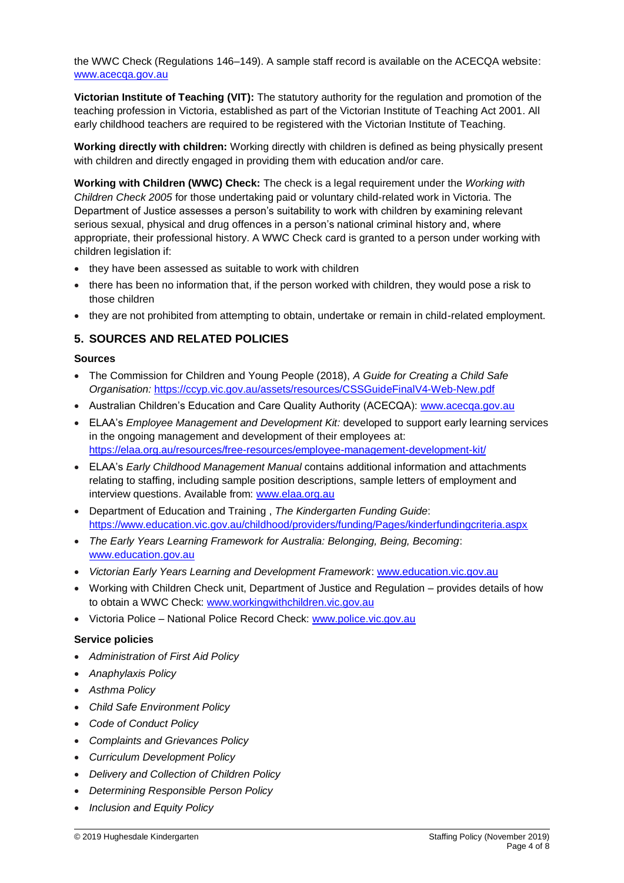the WWC Check (Regulations 146–149). A sample staff record is available on the ACECQA website: [www.acecqa.gov.au](http://www.acecqa.gov.au/)

**Victorian Institute of Teaching (VIT):** The statutory authority for the regulation and promotion of the teaching profession in Victoria, established as part of the Victorian Institute of Teaching Act 2001. All early childhood teachers are required to be registered with the Victorian Institute of Teaching.

**Working directly with children:** Working directly with children is defined as being physically present with children and directly engaged in providing them with education and/or care.

**Working with Children (WWC) Check:** The check is a legal requirement under the *Working with Children Check 2005* for those undertaking paid or voluntary child-related work in Victoria. The Department of Justice assesses a person's suitability to work with children by examining relevant serious sexual, physical and drug offences in a person's national criminal history and, where appropriate, their professional history. A WWC Check card is granted to a person under working with children legislation if:

- they have been assessed as suitable to work with children
- there has been no information that, if the person worked with children, they would pose a risk to those children
- they are not prohibited from attempting to obtain, undertake or remain in child-related employment.

### **5. SOURCES AND RELATED POLICIES**

#### **Sources**

- The Commission for Children and Young People (2018), *A Guide for Creating a Child Safe Organisation:* <https://ccyp.vic.gov.au/assets/resources/CSSGuideFinalV4-Web-New.pdf>
- Australian Children's Education and Care Quality Authority (ACECQA): [www.acecqa.gov.au](http://www.acecqa.gov.au/)
- ELAA's *Employee Management and Development Kit:* developed to support early learning services in the ongoing management and development of their employees at: <https://elaa.org.au/resources/free-resources/employee-management-development-kit/>
- ELAA's *Early Childhood Management Manual* contains additional information and attachments relating to staffing, including sample position descriptions, sample letters of employment and interview questions. Available from: [www.elaa.org.au](http://www.elaa.org.au/)
- Department of Education and Training , *The Kindergarten Funding Guide*: <https://www.education.vic.gov.au/childhood/providers/funding/Pages/kinderfundingcriteria.aspx>
- *The Early Years Learning Framework for Australia: Belonging, Being, Becoming*: [www.education.gov.au](http://www.education.gov.au/)
- *Victorian Early Years Learning and Development Framework*: [www.education.vic.gov.au](http://www.education.vic.gov.au/Pages/default.aspx)
- Working with Children Check unit, Department of Justice and Regulation provides details of how to obtain a WWC Check: [www.workingwithchildren.vic.gov.au](http://www.workingwithchildren.vic.gov.au/)
- Victoria Police National Police Record Check: [www.police.vic.gov.au](http://www.police.vic.gov.au/)

#### **Service policies**

- *Administration of First Aid Policy*
- *Anaphylaxis Policy*
- *Asthma Policy*
- *Child Safe Environment Policy*
- *Code of Conduct Policy*
- *Complaints and Grievances Policy*
- *Curriculum Development Policy*
- *Delivery and Collection of Children Policy*
- *Determining Responsible Person Policy*
- *Inclusion and Equity Policy*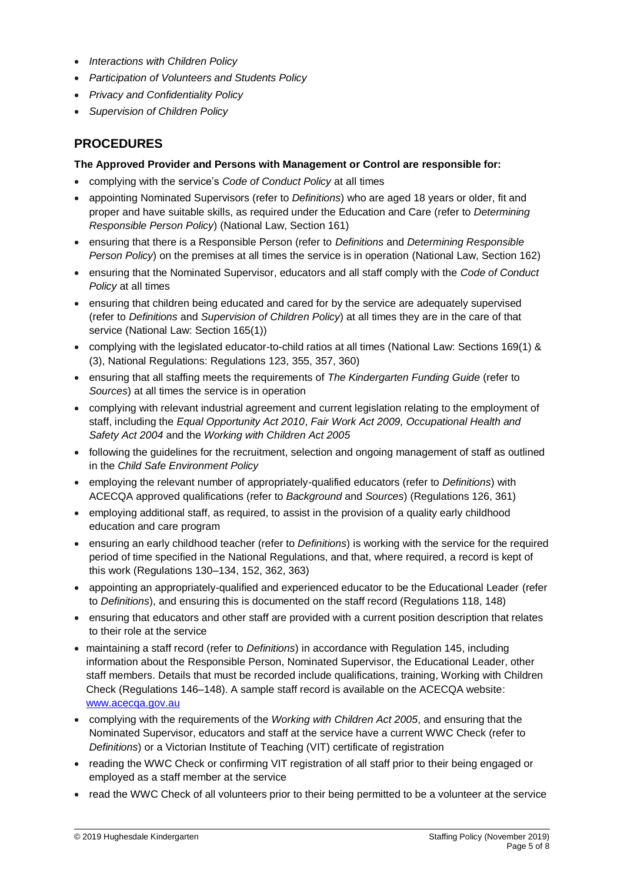- *Interactions with Children Policy*
- *Participation of Volunteers and Students Policy*
- *Privacy and Confidentiality Policy*
- *Supervision of Children Policy*

# **PROCEDURES**

### **The Approved Provider and Persons with Management or Control are responsible for:**

- complying with the service's *Code of Conduct Policy* at all times
- appointing Nominated Supervisors (refer to *Definitions*) who are aged 18 years or older, fit and proper and have suitable skills, as required under the Education and Care (refer to *Determining Responsible Person Policy*) (National Law, Section 161)
- ensuring that there is a Responsible Person (refer to *Definitions* and *Determining Responsible Person Policy*) on the premises at all times the service is in operation (National Law, Section 162)
- ensuring that the Nominated Supervisor, educators and all staff comply with the *Code of Conduct Policy* at all times
- ensuring that children being educated and cared for by the service are adequately supervised (refer to *Definitions* and *Supervision of Children Policy*) at all times they are in the care of that service (National Law: Section 165(1))
- complying with the legislated educator-to-child ratios at all times (National Law: Sections 169(1) & (3), National Regulations: Regulations 123, 355, 357, 360)
- ensuring that all staffing meets the requirements of *The Kindergarten Funding Guide* (refer to *Sources*) at all times the service is in operation
- complying with relevant industrial agreement and current legislation relating to the employment of staff, including the *Equal Opportunity Act 2010*, *Fair Work Act 2009, Occupational Health and Safety Act 2004* and the *Working with Children Act 2005*
- following the guidelines for the recruitment, selection and ongoing management of staff as outlined in the *Child Safe Environment Policy*
- employing the relevant number of appropriately-qualified educators (refer to *Definitions*) with ACECQA approved qualifications (refer to *Background* and *Sources*) (Regulations 126, 361)
- employing additional staff, as required, to assist in the provision of a quality early childhood education and care program
- ensuring an early childhood teacher (refer to *Definitions*) is working with the service for the required period of time specified in the National Regulations, and that, where required, a record is kept of this work (Regulations 130–134, 152, 362, 363)
- appointing an appropriately-qualified and experienced educator to be the Educational Leader (refer to *Definitions*), and ensuring this is documented on the staff record (Regulations 118, 148)
- ensuring that educators and other staff are provided with a current position description that relates to their role at the service
- maintaining a staff record (refer to *Definitions*) in accordance with Regulation 145, including information about the Responsible Person, Nominated Supervisor, the Educational Leader, other staff members. Details that must be recorded include qualifications, training, Working with Children Check (Regulations 146–148). A sample staff record is available on the ACECQA website: [www.acecqa.gov.au](http://www.acecqa.gov.au/)
- complying with the requirements of the *Working with Children Act 2005*, and ensuring that the Nominated Supervisor, educators and staff at the service have a current WWC Check (refer to *Definitions*) or a Victorian Institute of Teaching (VIT) certificate of registration
- reading the WWC Check or confirming VIT registration of all staff prior to their being engaged or employed as a staff member at the service
- read the WWC Check of all volunteers prior to their being permitted to be a volunteer at the service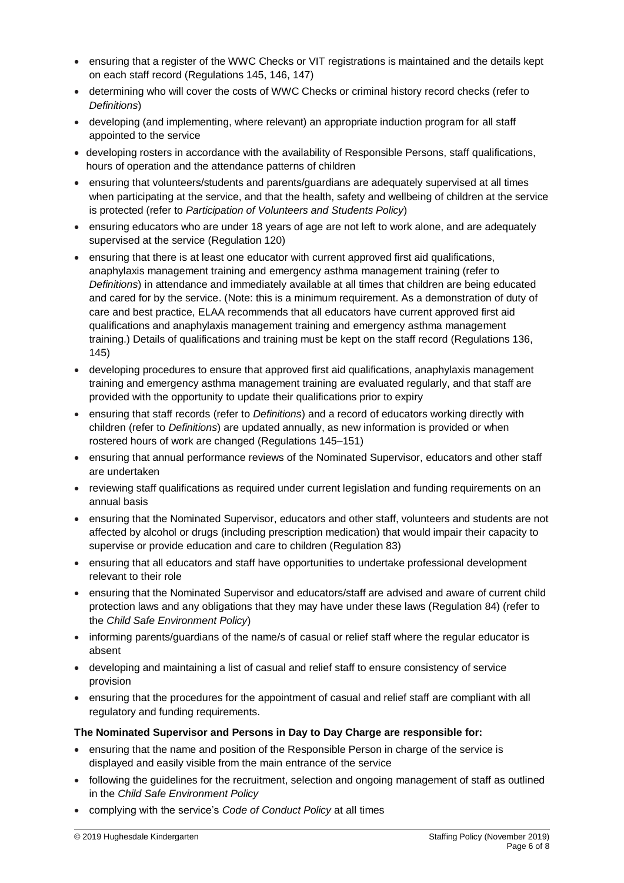- ensuring that a register of the WWC Checks or VIT registrations is maintained and the details kept on each staff record (Regulations 145, 146, 147)
- determining who will cover the costs of WWC Checks or criminal history record checks (refer to *Definitions*)
- developing (and implementing, where relevant) an appropriate induction program for all staff appointed to the service
- developing rosters in accordance with the availability of Responsible Persons, staff qualifications, hours of operation and the attendance patterns of children
- ensuring that volunteers/students and parents/guardians are adequately supervised at all times when participating at the service, and that the health, safety and wellbeing of children at the service is protected (refer to *Participation of Volunteers and Students Policy*)
- ensuring educators who are under 18 years of age are not left to work alone, and are adequately supervised at the service (Regulation 120)
- ensuring that there is at least one educator with current approved first aid qualifications, anaphylaxis management training and emergency asthma management training (refer to *Definitions*) in attendance and immediately available at all times that children are being educated and cared for by the service. (Note: this is a minimum requirement. As a demonstration of duty of care and best practice, ELAA recommends that all educators have current approved first aid qualifications and anaphylaxis management training and emergency asthma management training.) Details of qualifications and training must be kept on the staff record (Regulations 136, 145)
- developing procedures to ensure that approved first aid qualifications, anaphylaxis management training and emergency asthma management training are evaluated regularly, and that staff are provided with the opportunity to update their qualifications prior to expiry
- ensuring that staff records (refer to *Definitions*) and a record of educators working directly with children (refer to *Definitions*) are updated annually, as new information is provided or when rostered hours of work are changed (Regulations 145–151)
- ensuring that annual performance reviews of the Nominated Supervisor, educators and other staff are undertaken
- reviewing staff qualifications as required under current legislation and funding requirements on an annual basis
- ensuring that the Nominated Supervisor, educators and other staff, volunteers and students are not affected by alcohol or drugs (including prescription medication) that would impair their capacity to supervise or provide education and care to children (Regulation 83)
- ensuring that all educators and staff have opportunities to undertake professional development relevant to their role
- ensuring that the Nominated Supervisor and educators/staff are advised and aware of current child protection laws and any obligations that they may have under these laws (Regulation 84) (refer to the *Child Safe Environment Policy*)
- informing parents/guardians of the name/s of casual or relief staff where the regular educator is absent
- developing and maintaining a list of casual and relief staff to ensure consistency of service provision
- ensuring that the procedures for the appointment of casual and relief staff are compliant with all regulatory and funding requirements.

### **The Nominated Supervisor and Persons in Day to Day Charge are responsible for:**

- ensuring that the name and position of the Responsible Person in charge of the service is displayed and easily visible from the main entrance of the service
- following the guidelines for the recruitment, selection and ongoing management of staff as outlined in the *Child Safe Environment Policy*
- complying with the service's *Code of Conduct Policy* at all times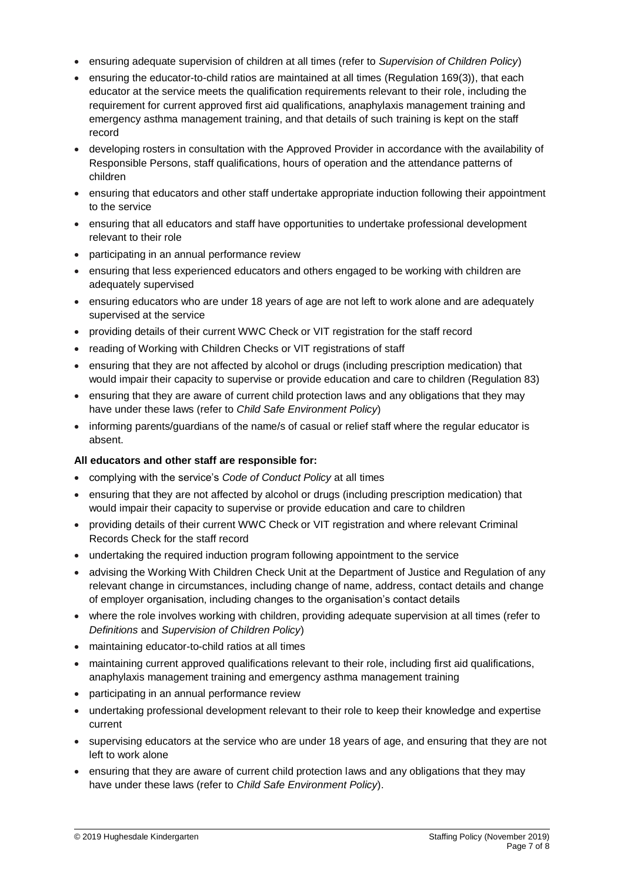- ensuring adequate supervision of children at all times (refer to *Supervision of Children Policy*)
- $\bullet$  ensuring the educator-to-child ratios are maintained at all times (Regulation 169(3)), that each educator at the service meets the qualification requirements relevant to their role, including the requirement for current approved first aid qualifications, anaphylaxis management training and emergency asthma management training, and that details of such training is kept on the staff record
- developing rosters in consultation with the Approved Provider in accordance with the availability of Responsible Persons, staff qualifications, hours of operation and the attendance patterns of children
- ensuring that educators and other staff undertake appropriate induction following their appointment to the service
- ensuring that all educators and staff have opportunities to undertake professional development relevant to their role
- participating in an annual performance review
- ensuring that less experienced educators and others engaged to be working with children are adequately supervised
- ensuring educators who are under 18 years of age are not left to work alone and are adequately supervised at the service
- providing details of their current WWC Check or VIT registration for the staff record
- reading of Working with Children Checks or VIT registrations of staff
- ensuring that they are not affected by alcohol or drugs (including prescription medication) that would impair their capacity to supervise or provide education and care to children (Regulation 83)
- ensuring that they are aware of current child protection laws and any obligations that they may have under these laws (refer to *Child Safe Environment Policy*)
- informing parents/guardians of the name/s of casual or relief staff where the regular educator is absent.

#### **All educators and other staff are responsible for:**

- complying with the service's *Code of Conduct Policy* at all times
- ensuring that they are not affected by alcohol or drugs (including prescription medication) that would impair their capacity to supervise or provide education and care to children
- providing details of their current WWC Check or VIT registration and where relevant Criminal Records Check for the staff record
- undertaking the required induction program following appointment to the service
- advising the Working With Children Check Unit at the Department of Justice and Regulation of any relevant change in circumstances, including change of name, address, contact details and change of employer organisation, including changes to the organisation's contact details
- where the role involves working with children, providing adequate supervision at all times (refer to *Definitions* and *Supervision of Children Policy*)
- maintaining educator-to-child ratios at all times
- maintaining current approved qualifications relevant to their role, including first aid qualifications, anaphylaxis management training and emergency asthma management training
- participating in an annual performance review
- undertaking professional development relevant to their role to keep their knowledge and expertise current
- supervising educators at the service who are under 18 years of age, and ensuring that they are not left to work alone
- ensuring that they are aware of current child protection laws and any obligations that they may have under these laws (refer to *Child Safe Environment Policy*).